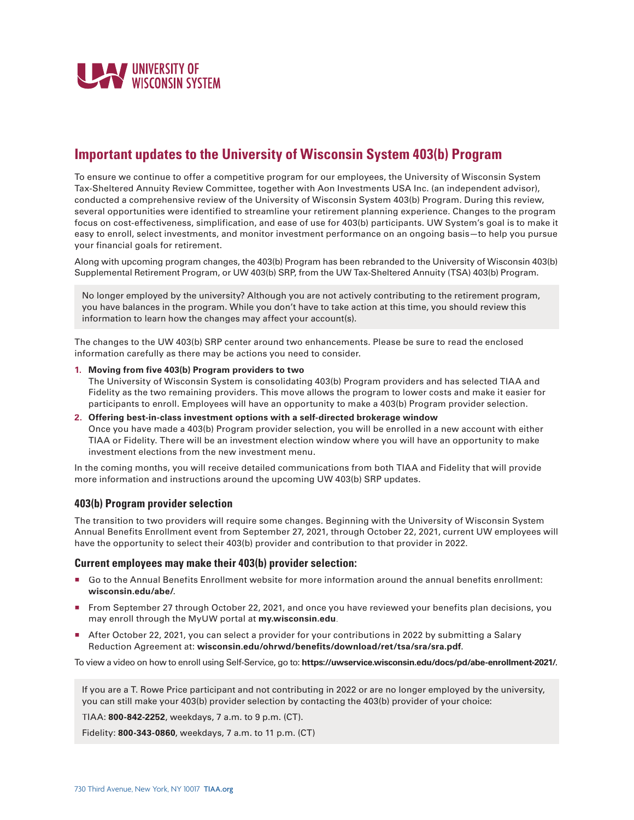

# **Important updates to the University of Wisconsin System 403(b) Program**

To ensure we continue to offer a competitive program for our employees, the University of Wisconsin System Tax-Sheltered Annuity Review Committee, together with Aon Investments USA Inc. (an independent advisor), conducted a comprehensive review of the University of Wisconsin System 403(b) Program. During this review, several opportunities were identified to streamline your retirement planning experience. Changes to the program focus on cost-effectiveness, simplification, and ease of use for 403(b) participants. UW System's goal is to make it easy to enroll, select investments, and monitor investment performance on an ongoing basis—to help you pursue your financial goals for retirement.

Along with upcoming program changes, the 403(b) Program has been rebranded to the University of Wisconsin 403(b) Supplemental Retirement Program, or UW 403(b) SRP, from the UW Tax-Sheltered Annuity (TSA) 403(b) Program.

No longer employed by the university? Although you are not actively contributing to the retirement program, you have balances in the program. While you don't have to take action at this time, you should review this information to learn how the changes may affect your account(s).

The changes to the UW 403(b) SRP center around two enhancements. Please be sure to read the enclosed information carefully as there may be actions you need to consider.

**1. Moving from five 403(b) Program providers to two**

The University of Wisconsin System is consolidating 403(b) Program providers and has selected TIAA and Fidelity as the two remaining providers. This move allows the program to lower costs and make it easier for participants to enroll. Employees will have an opportunity to make a 403(b) Program provider selection.

**2. Offering best-in-class investment options with a self-directed brokerage window** Once you have made a 403(b) Program provider selection, you will be enrolled in a new account with either TIAA or Fidelity. There will be an investment election window where you will have an opportunity to make investment elections from the new investment menu.

In the coming months, you will receive detailed communications from both TIAA and Fidelity that will provide more information and instructions around the upcoming UW 403(b) SRP updates.

## **403(b) Program provider selection**

The transition to two providers will require some changes. Beginning with the University of Wisconsin System Annual Benefits Enrollment event from September 27, 2021, through October 22, 2021, current UW employees will have the opportunity to select their 403(b) provider and contribution to that provider in 2022.

#### **Current employees may make their 403(b) provider selection:**

- Go to the Annual Benefits Enrollment website for more information around the annual benefits enrollment: **wisconsin.edu/abe/**.
- From September 27 through October 22, 2021, and once you have reviewed your benefits plan decisions, you may enroll through the MyUW portal at **my.wisconsin.edu**.
- After October 22, 2021, you can select a provider for your contributions in 2022 by submitting a Salary Reduction Agreement at: **wisconsin.edu/ohrwd/benefits/download/ret/tsa/sra/sra.pdf**.

To view a video on how to enroll using Self-Service, go to: **https://uwservice.wisconsin.edu/docs/pd/abe-enrollment-2021/**.

If you are a T. Rowe Price participant and not contributing in 2022 or are no longer employed by the university, you can still make your 403(b) provider selection by contacting the 403(b) provider of your choice:

TIAA: **800-842-2252**, weekdays, 7 a.m. to 9 p.m. (CT).

Fidelity: **800-343-0860**, weekdays, 7 a.m. to 11 p.m. (CT)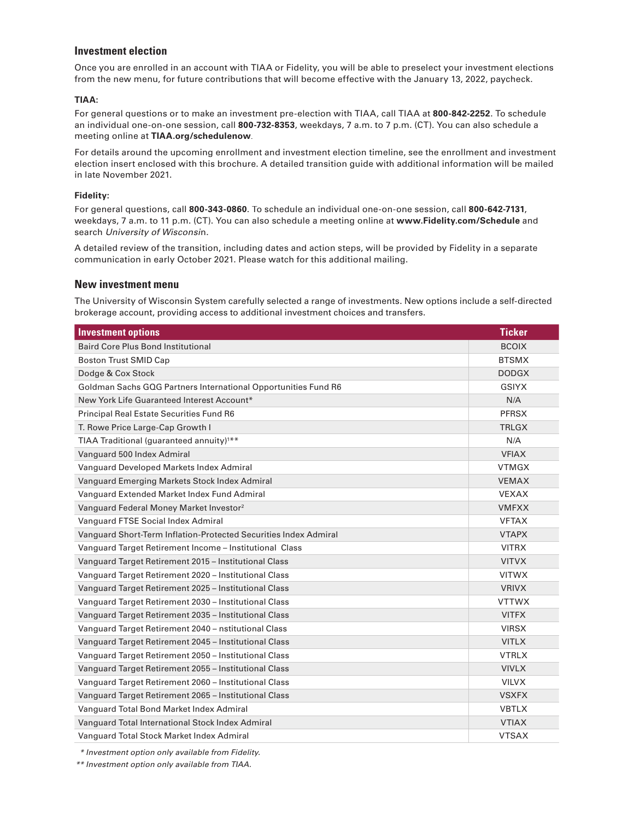#### **Investment election**

Once you are enrolled in an account with TIAA or Fidelity, you will be able to preselect your investment elections from the new menu, for future contributions that will become effective with the January 13, 2022, paycheck.

#### **TIAA:**

For general questions or to make an investment pre-election with TIAA, call TIAA at **800-842-2252**. To schedule an individual one-on-one session, call **800-732-8353**, weekdays, 7 a.m. to 7 p.m. (CT). You can also schedule a meeting online at **TIAA.org/schedulenow**.

For details around the upcoming enrollment and investment election timeline, see the enrollment and investment election insert enclosed with this brochure. A detailed transition guide with additional information will be mailed in late November 2021.

#### **Fidelity:**

For general questions, call **800-343-0860**. To schedule an individual one-on-one session, call **800-642-7131**, weekdays, 7 a.m. to 11 p.m. (CT). You can also schedule a meeting online at **www.Fidelity.com/Schedule** and search University of Wisconsin.

A detailed review of the transition, including dates and action steps, will be provided by Fidelity in a separate communication in early October 2021. Please watch for this additional mailing.

#### **New investment menu**

The University of Wisconsin System carefully selected a range of investments. New options include a self-directed brokerage account, providing access to additional investment choices and transfers.

| <b>Investment options</b>                                        | <b>Ticker</b> |
|------------------------------------------------------------------|---------------|
| <b>Baird Core Plus Bond Institutional</b>                        | <b>BCOIX</b>  |
| <b>Boston Trust SMID Cap</b>                                     | <b>BTSMX</b>  |
| Dodge & Cox Stock                                                | <b>DODGX</b>  |
| Goldman Sachs GQG Partners International Opportunities Fund R6   | <b>GSIYX</b>  |
| New York Life Guaranteed Interest Account*                       | N/A           |
| <b>Principal Real Estate Securities Fund R6</b>                  | <b>PFRSX</b>  |
| T. Rowe Price Large-Cap Growth I                                 | <b>TRLGX</b>  |
| TIAA Traditional (guaranteed annuity) <sup>1**</sup>             | N/A           |
| Vanguard 500 Index Admiral                                       | <b>VFIAX</b>  |
| Vanguard Developed Markets Index Admiral                         | <b>VTMGX</b>  |
| Vanguard Emerging Markets Stock Index Admiral                    | <b>VEMAX</b>  |
| Vanguard Extended Market Index Fund Admiral                      | <b>VEXAX</b>  |
| Vanguard Federal Money Market Investor <sup>2</sup>              | <b>VMFXX</b>  |
| Vanguard FTSE Social Index Admiral                               | <b>VFTAX</b>  |
| Vanguard Short-Term Inflation-Protected Securities Index Admiral | <b>VTAPX</b>  |
| Vanguard Target Retirement Income - Institutional Class          | <b>VITRX</b>  |
| Vanguard Target Retirement 2015 - Institutional Class            | <b>VITVX</b>  |
| Vanguard Target Retirement 2020 - Institutional Class            | <b>VITWX</b>  |
| Vanguard Target Retirement 2025 - Institutional Class            | <b>VRIVX</b>  |
| Vanguard Target Retirement 2030 - Institutional Class            | <b>VTTWX</b>  |
| Vanguard Target Retirement 2035 - Institutional Class            | <b>VITFX</b>  |
| Vanguard Target Retirement 2040 - nstitutional Class             | <b>VIRSX</b>  |
| Vanguard Target Retirement 2045 - Institutional Class            | <b>VITLX</b>  |
| Vanguard Target Retirement 2050 - Institutional Class            | <b>VTRLX</b>  |
| Vanguard Target Retirement 2055 - Institutional Class            | <b>VIVLX</b>  |
| Vanguard Target Retirement 2060 - Institutional Class            | <b>VILVX</b>  |
| Vanguard Target Retirement 2065 - Institutional Class            | <b>VSXFX</b>  |
| Vanguard Total Bond Market Index Admiral                         | <b>VBTLX</b>  |
| Vanguard Total International Stock Index Admiral                 | <b>VTIAX</b>  |
| Vanguard Total Stock Market Index Admiral                        | <b>VTSAX</b>  |

\* Investment option only available from Fidelity.

\*\* Investment option only available from TIAA.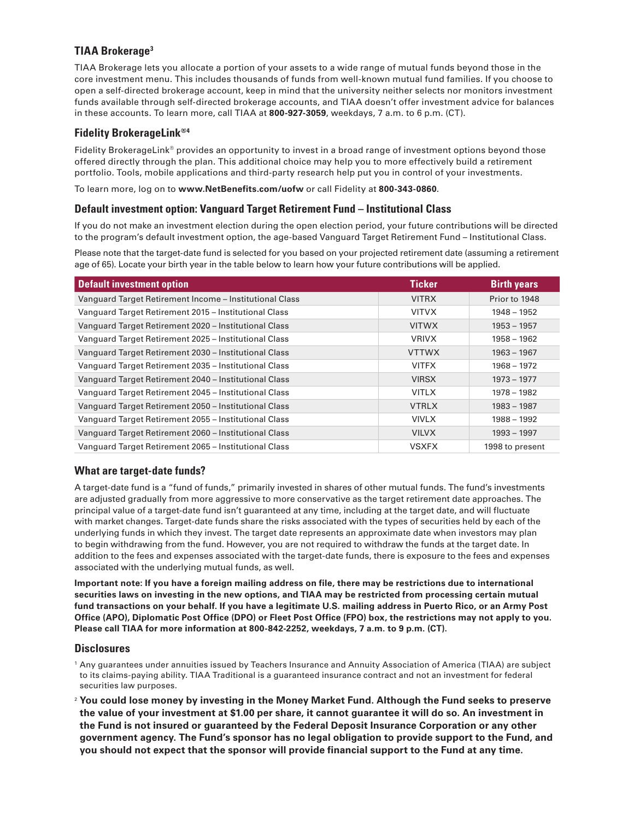## **TIAA Brokerage3**

TIAA Brokerage lets you allocate a portion of your assets to a wide range of mutual funds beyond those in the core investment menu. This includes thousands of funds from well-known mutual fund families. If you choose to open a self-directed brokerage account, keep in mind that the university neither selects nor monitors investment funds available through self-directed brokerage accounts, and TIAA doesn't offer investment advice for balances in these accounts. To learn more, call TIAA at **800-927-3059**, weekdays, 7 a.m. to 6 p.m. (CT).

## **Fidelity BrokerageLink®4**

Fidelity BrokerageLink® provides an opportunity to invest in a broad range of investment options beyond those offered directly through the plan. This additional choice may help you to more effectively build a retirement portfolio. Tools, mobile applications and third-party research help put you in control of your investments.

To learn more, log on to **www.NetBenefits.com/uofw** or call Fidelity at **800-343-0860**.

#### **Default investment option: Vanguard Target Retirement Fund – Institutional Class**

If you do not make an investment election during the open election period, your future contributions will be directed to the program's default investment option, the age-based Vanguard Target Retirement Fund – Institutional Class.

Please note that the target-date fund is selected for you based on your projected retirement date (assuming a retirement age of 65). Locate your birth year in the table below to learn how your future contributions will be applied.

| <b>Default investment option</b>                        | <b>Ticker</b> | <b>Birth years</b> |
|---------------------------------------------------------|---------------|--------------------|
| Vanguard Target Retirement Income - Institutional Class | <b>VITRX</b>  | Prior to 1948      |
| Vanguard Target Retirement 2015 - Institutional Class   | <b>VITVX</b>  | 1948 - 1952        |
| Vanguard Target Retirement 2020 - Institutional Class   | <b>VITWX</b>  | $1953 - 1957$      |
| Vanguard Target Retirement 2025 - Institutional Class   | <b>VRIVX</b>  | $1958 - 1962$      |
| Vanguard Target Retirement 2030 - Institutional Class   | <b>VTTWX</b>  | $1963 - 1967$      |
| Vanguard Target Retirement 2035 - Institutional Class   | <b>VITFX</b>  | 1968 - 1972        |
| Vanguard Target Retirement 2040 - Institutional Class   | <b>VIRSX</b>  | $1973 - 1977$      |
| Vanguard Target Retirement 2045 - Institutional Class   | <b>VITLX</b>  | $1978 - 1982$      |
| Vanguard Target Retirement 2050 - Institutional Class   | <b>VTRLX</b>  | $1983 - 1987$      |
| Vanguard Target Retirement 2055 - Institutional Class   | <b>VIVLX</b>  | 1988 - 1992        |
| Vanguard Target Retirement 2060 - Institutional Class   | <b>VILVX</b>  | $1993 - 1997$      |
| Vanguard Target Retirement 2065 - Institutional Class   | <b>VSXFX</b>  | 1998 to present    |

## **What are target-date funds?**

A target-date fund is a "fund of funds," primarily invested in shares of other mutual funds. The fund's investments are adjusted gradually from more aggressive to more conservative as the target retirement date approaches. The principal value of a target-date fund isn't guaranteed at any time, including at the target date, and will fluctuate with market changes. Target-date funds share the risks associated with the types of securities held by each of the underlying funds in which they invest. The target date represents an approximate date when investors may plan to begin withdrawing from the fund. However, you are not required to withdraw the funds at the target date. In addition to the fees and expenses associated with the target-date funds, there is exposure to the fees and expenses associated with the underlying mutual funds, as well.

**Important note: If you have a foreign mailing address on file, there may be restrictions due to international securities laws on investing in the new options, and TIAA may be restricted from processing certain mutual fund transactions on your behalf. If you have a legitimate U.S. mailing address in Puerto Rico, or an Army Post Office (APO), Diplomatic Post Office (DPO) or Fleet Post Office (FPO) box, the restrictions may not apply to you. Please call TIAA for more information at 800-842-2252, weekdays, 7 a.m. to 9 p.m. (CT).**

#### **Disclosures**

- <sup>1</sup> Any guarantees under annuities issued by Teachers Insurance and Annuity Association of America (TIAA) are subject to its claims-paying ability. TIAA Traditional is a guaranteed insurance contract and not an investment for federal securities law purposes.
- <sup>2</sup> **You could lose money by investing in the Money Market Fund. Although the Fund seeks to preserve the value of your investment at \$1.00 per share, it cannot guarantee it will do so. An investment in the Fund is not insured or guaranteed by the Federal Deposit Insurance Corporation or any other government agency. The Fund's sponsor has no legal obligation to provide support to the Fund, and you should not expect that the sponsor will provide financial support to the Fund at any time.**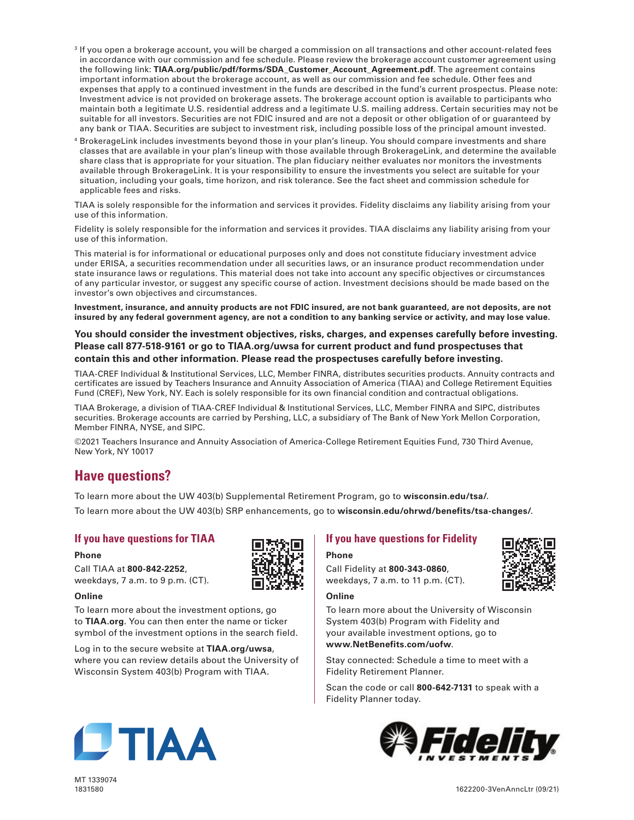- <sup>3</sup> If you open a brokerage account, you will be charged a commission on all transactions and other account-related fees in accordance with our commission and fee schedule. Please review the brokerage account customer agreement using the following link: **TIAA.org/public/pdf/forms/SDA\_Customer\_Account\_Agreement.pdf**. The agreement contains important information about the brokerage account, as well as our commission and fee schedule. Other fees and expenses that apply to a continued investment in the funds are described in the fund's current prospectus. Please note: Investment advice is not provided on brokerage assets. The brokerage account option is available to participants who maintain both a legitimate U.S. residential address and a legitimate U.S. mailing address. Certain securities may not be suitable for all investors. Securities are not FDIC insured and are not a deposit or other obligation of or guaranteed by any bank or TIAA. Securities are subject to investment risk, including possible loss of the principal amount invested.
- <sup>4</sup> BrokerageLink includes investments beyond those in your plan's lineup. You should compare investments and share classes that are available in your plan's lineup with those available through BrokerageLink, and determine the available share class that is appropriate for your situation. The plan fiduciary neither evaluates nor monitors the investments available through BrokerageLink. It is your responsibility to ensure the investments you select are suitable for your situation, including your goals, time horizon, and risk tolerance. See the fact sheet and commission schedule for applicable fees and risks.

TIAA is solely responsible for the information and services it provides. Fidelity disclaims any liability arising from your use of this information.

Fidelity is solely responsible for the information and services it provides. TIAA disclaims any liability arising from your use of this information.

This material is for informational or educational purposes only and does not constitute fiduciary investment advice under ERISA, a securities recommendation under all securities laws, or an insurance product recommendation under state insurance laws or regulations. This material does not take into account any specific objectives or circumstances of any particular investor, or suggest any specific course of action. Investment decisions should be made based on the investor's own objectives and circumstances.

**Investment, insurance, and annuity products are not FDIC insured, are not bank guaranteed, are not deposits, are not insured by any federal government agency, are not a condition to any banking service or activity, and may lose value.**

### **You should consider the investment objectives, risks, charges, and expenses carefully before investing. Please call 877-518-9161 or go to TIAA.org/uwsa for current product and fund prospectuses that contain this and other information. Please read the prospectuses carefully before investing.**

TIAA-CREF Individual & Institutional Services, LLC, Member FINRA, distributes securities products. Annuity contracts and certificates are issued by Teachers Insurance and Annuity Association of America (TIAA) and College Retirement Equities Fund (CREF), New York, NY. Each is solely responsible for its own financial condition and contractual obligations.

TIAA Brokerage, a division of TIAA-CREF Individual & Institutional Services, LLC, Member FINRA and SIPC, distributes securities. Brokerage accounts are carried by Pershing, LLC, a subsidiary of The Bank of New York Mellon Corporation, Member FINRA, NYSE, and SIPC.

©2021 Teachers Insurance and Annuity Association of America-College Retirement Equities Fund, 730 Third Avenue, New York, NY 10017

## **Have questions?**

To learn more about the UW 403(b) Supplemental Retirement Program, go to **wisconsin.edu/tsa/**.

To learn more about the UW 403(b) SRP enhancements, go to **wisconsin.edu/ohrwd/benefits/tsa-changes/**.

## **If you have questions for TIAA**

#### **Phone**

Call TIAA at **800-842-2252**, weekdays, 7 a.m. to 9 p.m. (CT).

#### **Online**

To learn more about the investment options, go to **TIAA.org**. You can then enter the name or ticker symbol of the investment options in the search field.

Log in to the secure website at **TIAA.org/uwsa**, where you can review details about the University of Wisconsin System 403(b) Program with TIAA.

#### **If you have questions for Fidelity**

#### **Phone**

Call Fidelity at **800-343-0860**, weekdays, 7 a.m. to 11 p.m. (CT).

#### **Online**

To learn more about the University of Wisconsin System 403(b) Program with Fidelity and

your available investment options, go to **www.NetBenefits.com/uofw**.

Stay connected: Schedule a time to meet with a Fidelity Retirement Planner.

Scan the code or call **800-642-7131** to speak with a Fidelity Planner today.







MT 1339074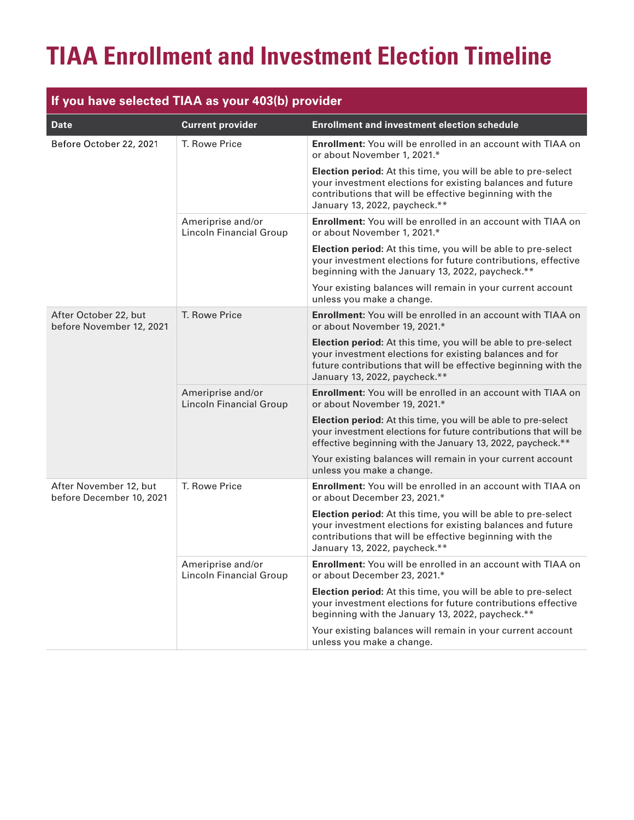# **TIAA Enrollment and Investment Election Timeline**

| If you have selected TIAA as your 403(b) provider  |                                                     |                                                                                                                                                                                                                             |  |  |
|----------------------------------------------------|-----------------------------------------------------|-----------------------------------------------------------------------------------------------------------------------------------------------------------------------------------------------------------------------------|--|--|
| <b>Date</b>                                        | <b>Current provider</b>                             | <b>Enrollment and investment election schedule</b>                                                                                                                                                                          |  |  |
| Before October 22, 2021                            | T. Rowe Price                                       | <b>Enrollment:</b> You will be enrolled in an account with TIAA on<br>or about November 1, 2021.*                                                                                                                           |  |  |
|                                                    |                                                     | Election period: At this time, you will be able to pre-select<br>your investment elections for existing balances and future<br>contributions that will be effective beginning with the<br>January 13, 2022, paycheck.**     |  |  |
|                                                    | Ameriprise and/or<br>Lincoln Financial Group        | Enrollment: You will be enrolled in an account with TIAA on<br>or about November 1, 2021.*                                                                                                                                  |  |  |
|                                                    |                                                     | Election period: At this time, you will be able to pre-select<br>your investment elections for future contributions, effective<br>beginning with the January 13, 2022, paycheck.**                                          |  |  |
|                                                    |                                                     | Your existing balances will remain in your current account<br>unless you make a change.                                                                                                                                     |  |  |
| After October 22, but<br>before November 12, 2021  | T. Rowe Price                                       | Enrollment: You will be enrolled in an account with TIAA on<br>or about November 19, 2021.*                                                                                                                                 |  |  |
|                                                    |                                                     | Election period: At this time, you will be able to pre-select<br>your investment elections for existing balances and for<br>future contributions that will be effective beginning with the<br>January 13, 2022, paycheck.** |  |  |
|                                                    | Ameriprise and/or<br><b>Lincoln Financial Group</b> | <b>Enrollment:</b> You will be enrolled in an account with TIAA on<br>or about November 19, 2021.*                                                                                                                          |  |  |
|                                                    |                                                     | Election period: At this time, you will be able to pre-select<br>your investment elections for future contributions that will be<br>effective beginning with the January 13, 2022, paycheck.**                              |  |  |
|                                                    |                                                     | Your existing balances will remain in your current account<br>unless you make a change.                                                                                                                                     |  |  |
| After November 12, but<br>before December 10, 2021 | T. Rowe Price                                       | Enrollment: You will be enrolled in an account with TIAA on<br>or about December 23, 2021.*                                                                                                                                 |  |  |
|                                                    |                                                     | Election period: At this time, you will be able to pre-select<br>your investment elections for existing balances and future<br>contributions that will be effective beginning with the<br>January 13, 2022, paycheck.**     |  |  |
|                                                    | Ameriprise and/or<br><b>Lincoln Financial Group</b> | <b>Enrollment:</b> You will be enrolled in an account with TIAA on<br>or about December 23, 2021.*                                                                                                                          |  |  |
|                                                    |                                                     | Election period: At this time, you will be able to pre-select<br>your investment elections for future contributions effective<br>beginning with the January 13, 2022, paycheck.**                                           |  |  |
|                                                    |                                                     | Your existing balances will remain in your current account<br>unless you make a change.                                                                                                                                     |  |  |